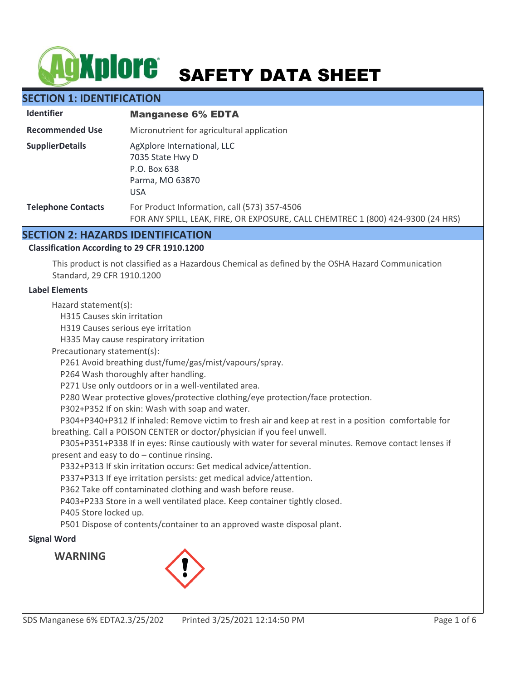# **AgXplore** SAFETY DATA SHEET

# **SECTION 1: IDENTIFICATION**

| <b>Identifier</b>         | <b>Manganese 6% EDTA</b>                                                                                                        |
|---------------------------|---------------------------------------------------------------------------------------------------------------------------------|
| <b>Recommended Use</b>    | Micronutrient for agricultural application                                                                                      |
| <b>SupplierDetails</b>    | AgXplore International, LLC<br>7035 State Hwy D<br>P.O. Box 638<br>Parma, MO 63870<br><b>USA</b>                                |
| <b>Telephone Contacts</b> | For Product Information, call (573) 357-4506<br>FOR ANY SPILL, LEAK, FIRE, OR EXPOSURE, CALL CHEMTREC 1 (800) 424-9300 (24 HRS) |

## **SECTION 2: HAZARDS IDENTIFICATION**

## **Classification According to 29 CFR 1910.1200**

This product is not classified as a Hazardous Chemical as defined by the OSHA Hazard Communication Standard, 29 CFR 1910.1200

#### **Label Elements**

Hazard statement(s):

H315 Causes skin irritation

H319 Causes serious eye irritation

H335 May cause respiratory irritation

Precautionary statement(s):

P261 Avoid breathing dust/fume/gas/mist/vapours/spray.

P264 Wash thoroughly after handling.

P271 Use only outdoors or in a well-ventilated area.

P280 Wear protective gloves/protective clothing/eye protection/face protection.

P302+P352 If on skin: Wash with soap and water.

 P304+P340+P312 If inhaled: Remove victim to fresh air and keep at rest in a position comfortable for breathing. Call a POISON CENTER or doctor/physician if you feel unwell.

 P305+P351+P338 If in eyes: Rinse cautiously with water for several minutes. Remove contact lenses if present and easy to do – continue rinsing.

P332+P313 If skin irritation occurs: Get medical advice/attention.

P337+P313 If eye irritation persists: get medical advice/attention.

P362 Take off contaminated clothing and wash before reuse.

P403+P233 Store in a well ventilated place. Keep container tightly closed.

P405 Store locked up.

P501 Dispose of contents/container to an approved waste disposal plant.

## **Signal Word**

**WARNING**

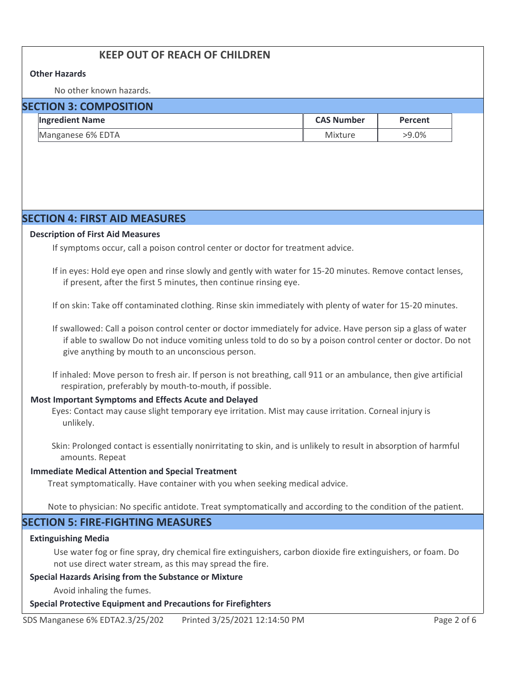# **KEEP OUT OF REACH OF CHILDREN**

#### **Other Hazards**

No other known hazards.

| <b>SECTION 3: COMPOSITION</b> |                        |                   |          |  |
|-------------------------------|------------------------|-------------------|----------|--|
|                               | <b>Ingredient Name</b> | <b>CAS Number</b> | Percent  |  |
|                               | Manganese 6% EDTA      | Mixture           | $>9.0\%$ |  |

## **SECTION 4: FIRST AID MEASURES**

#### **Description of First Aid Measures**

If symptoms occur, call a poison control center or doctor for treatment advice.

If in eyes: Hold eye open and rinse slowly and gently with water for 15-20 minutes. Remove contact lenses, if present, after the first 5 minutes, then continue rinsing eye.

If on skin: Take off contaminated clothing. Rinse skin immediately with plenty of water for 15-20 minutes.

If swallowed: Call a poison control center or doctor immediately for advice. Have person sip a glass of water if able to swallow Do not induce vomiting unless told to do so by a poison control center or doctor. Do not give anything by mouth to an unconscious person.

If inhaled: Move person to fresh air. If person is not breathing, call 911 or an ambulance, then give artificial respiration, preferably by mouth-to-mouth, if possible.

## **Most Important Symptoms and Effects Acute and Delayed**

Eyes: Contact may cause slight temporary eye irritation. Mist may cause irritation. Corneal injury is unlikely.

Skin: Prolonged contact is essentially nonirritating to skin, and is unlikely to result in absorption of harmful amounts. Repeat

#### **Immediate Medical Attention and Special Treatment**

Treat symptomatically. Have container with you when seeking medical advice.

Note to physician: No specific antidote. Treat symptomatically and according to the condition of the patient.

## **SECTION 5: FIRE-FIGHTING MEASURES**

#### **Extinguishing Media**

Use water fog or fine spray, dry chemical fire extinguishers, carbon dioxide fire extinguishers, or foam. Do not use direct water stream, as this may spread the fire.

#### **Special Hazards Arising from the Substance or Mixture**

Avoid inhaling the fumes.

#### **Special Protective Equipment and Precautions for Firefighters**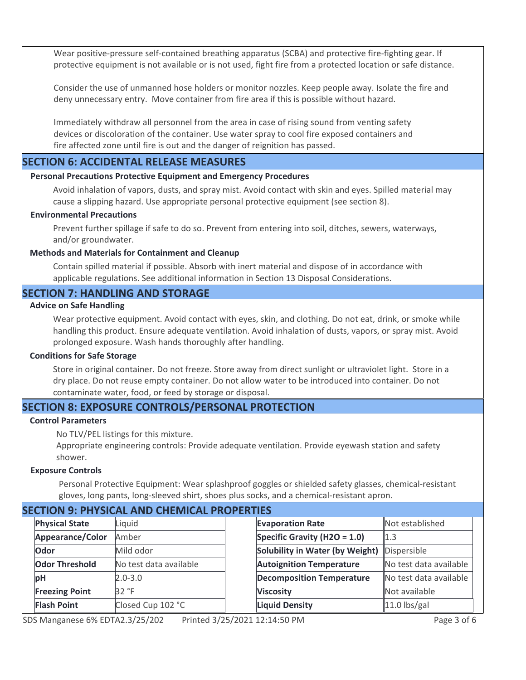Wear positive-pressure self-contained breathing apparatus (SCBA) and protective fire-fighting gear. If protective equipment is not available or is not used, fight fire from a protected location or safe distance.

Consider the use of unmanned hose holders or monitor nozzles. Keep people away. Isolate the fire and deny unnecessary entry. Move container from fire area if this is possible without hazard.

Immediately withdraw all personnel from the area in case of rising sound from venting safety devices or discoloration of the container. Use water spray to cool fire exposed containers and fire affected zone until fire is out and the danger of reignition has passed.

## **SECTION 6: ACCIDENTAL RELEASE MEASURES**

#### **Personal Precautions Protective Equipment and Emergency Procedures**

Avoid inhalation of vapors, dusts, and spray mist. Avoid contact with skin and eyes. Spilled material may cause a slipping hazard. Use appropriate personal protective equipment (see section 8).

#### **Environmental Precautions**

Prevent further spillage if safe to do so. Prevent from entering into soil, ditches, sewers, waterways, and/or groundwater.

#### **Methods and Materials for Containment and Cleanup**

Contain spilled material if possible. Absorb with inert material and dispose of in accordance with applicable regulations. See additional information in Section 13 Disposal Considerations.

## **SECTION 7: HANDLING AND STORAGE**

#### **Advice on Safe Handling**

Wear protective equipment. Avoid contact with eyes, skin, and clothing. Do not eat, drink, or smoke while handling this product. Ensure adequate ventilation. Avoid inhalation of dusts, vapors, or spray mist. Avoid prolonged exposure. Wash hands thoroughly after handling.

#### **Conditions for Safe Storage**

Store in original container. Do not freeze. Store away from direct sunlight or ultraviolet light. Store in a dry place. Do not reuse empty container. Do not allow water to be introduced into container. Do not contaminate water, food, or feed by storage or disposal.

## **SECTION 8: EXPOSURE CONTROLS/PERSONAL PROTECTION**

#### **Control Parameters**

No TLV/PEL listings for this mixture.

Appropriate engineering controls: Provide adequate ventilation. Provide eyewash station and safety shower.

#### **Exposure Controls**

Personal Protective Equipment: Wear splashproof goggles or shielded safety glasses, chemical-resistant gloves, long pants, long-sleeved shirt, shoes plus socks, and a chemical-resistant apron.

## **SECTION 9: PHYSICAL AND CHEMICAL PROPERTIES**

| <b>Physical State</b> | Liquid                 |
|-----------------------|------------------------|
| Appearance/Color      | Amber                  |
| Odor                  | Mild odor              |
| <b>Odor Threshold</b> | No test data available |
| рH                    | $2.0 - 3.0$            |
| <b>Freezing Point</b> | 32 °F                  |
| <b>Flash Point</b>    | Closed Cup 102 °C      |

| ШЕЭ                                    |                        |
|----------------------------------------|------------------------|
| <b>Evaporation Rate</b>                | Not established        |
| Specific Gravity (H2O = 1.0)           | 1.3                    |
| <b>Solubility in Water (by Weight)</b> | Dispersible            |
| <b>Autoignition Temperature</b>        | No test data available |
| <b>Decomposition Temperature</b>       | No test data available |
| <b>Viscosity</b>                       | Not available          |
| <b>Liquid Density</b>                  | $11.0$ lbs/gal         |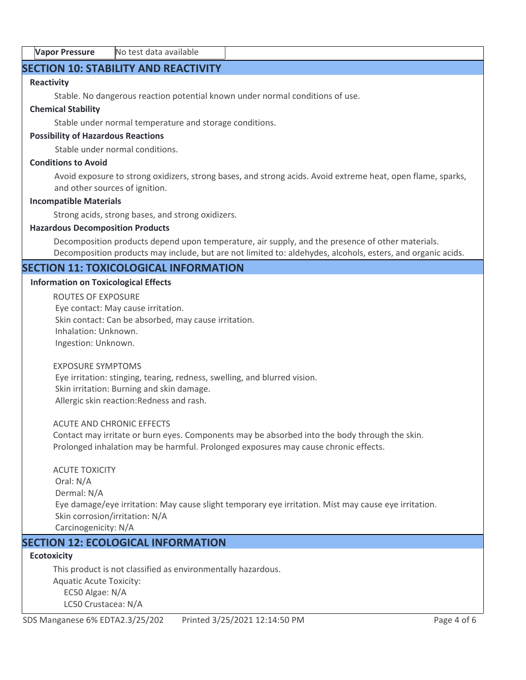## **SECTION 10: STABILITY AND REACTIVITY**

## **Reactivity**

Stable. No dangerous reaction potential known under normal conditions of use.

#### **Chemical Stability**

Stable under normal temperature and storage conditions.

#### **Possibility of Hazardous Reactions**

Stable under normal conditions.

#### **Conditions to Avoid**

Avoid exposure to strong oxidizers, strong bases, and strong acids. Avoid extreme heat, open flame, sparks, and other sources of ignition.

#### **Incompatible Materials**

Strong acids, strong bases, and strong oxidizers.

#### **Hazardous Decomposition Products**

Decomposition products depend upon temperature, air supply, and the presence of other materials. Decomposition products may include, but are not limited to: aldehydes, alcohols, esters, and organic acids.

## **SECTION 11: TOXICOLOGICAL INFORMATION**

#### **Information on Toxicological Effects**

ROUTES OF EXPOSURE Eye contact: May cause irritation. Skin contact: Can be absorbed, may cause irritation. Inhalation: Unknown. Ingestion: Unknown.

#### EXPOSURE SYMPTOMS

 Eye irritation: stinging, tearing, redness, swelling, and blurred vision. Skin irritation: Burning and skin damage. Allergic skin reaction:Redness and rash.

#### ACUTE AND CHRONIC EFFECTS

Contact may irritate or burn eyes. Components may be absorbed into the body through the skin. Prolonged inhalation may be harmful. Prolonged exposures may cause chronic effects.

## ACUTE TOXICITY Oral: N/A Dermal: N/A Eye damage/eye irritation: May cause slight temporary eye irritation. Mist may cause eye irritation. Skin corrosion/irritation: N/A Carcinogenicity: N/A

## **SECTION 12: ECOLOGICAL INFORMATION**

## **Ecotoxicity**

This product is not classified as environmentally hazardous. Aquatic Acute Toxicity: EC50 Algae: N/A LC50 Crustacea: N/A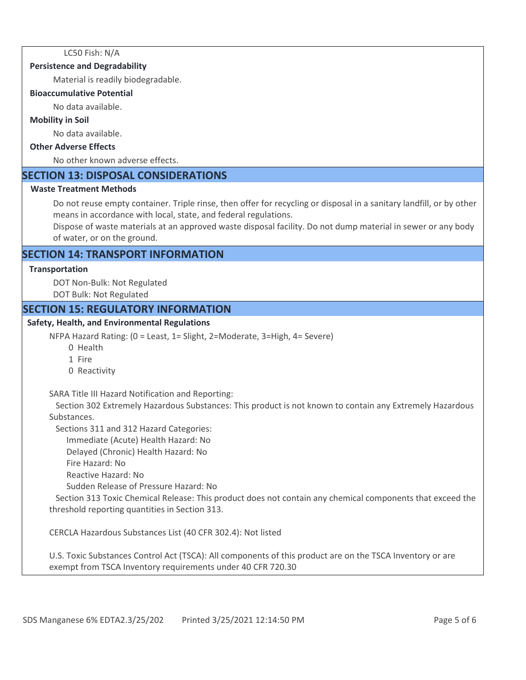LC50 Fish: N/A

#### **Persistence and Degradability**

Material is readily biodegradable.

#### **Bioaccumulative Potential**

No data available.

#### **Mobility in Soil**

No data available.

#### **Other Adverse Effects**

No other known adverse effects.

## **SECTION 13: DISPOSAL CONSIDERATIONS**

#### **Waste Treatment Methods**

Do not reuse empty container. Triple rinse, then offer for recycling or disposal in a sanitary landfill, or by other means in accordance with local, state, and federal regulations.

Dispose of waste materials at an approved waste disposal facility. Do not dump material in sewer or any body of water, or on the ground.

## **SECTION 14: TRANSPORT INFORMATION**

#### **Transportation**

DOT Non-Bulk: Not Regulated DOT Bulk: Not Regulated

## **SECTION 15: REGULATORY INFORMATION**

#### **Safety, Health, and Environmental Regulations**

NFPA Hazard Rating: (0 = Least, 1= Slight, 2=Moderate, 3=High, 4= Severe)

- 0 Health
- 1 Fire
- 0 Reactivity

SARA Title III Hazard Notification and Reporting:

 Section 302 Extremely Hazardous Substances: This product is not known to contain any Extremely Hazardous Substances.

Sections 311 and 312 Hazard Categories:

Immediate (Acute) Health Hazard: No

Delayed (Chronic) Health Hazard: No

Fire Hazard: No

Reactive Hazard: No

Sudden Release of Pressure Hazard: No

 Section 313 Toxic Chemical Release: This product does not contain any chemical components that exceed the threshold reporting quantities in Section 313.

CERCLA Hazardous Substances List (40 CFR 302.4): Not listed

U.S. Toxic Substances Control Act (TSCA): All components of this product are on the TSCA Inventory or are exempt from TSCA Inventory requirements under 40 CFR 720.30